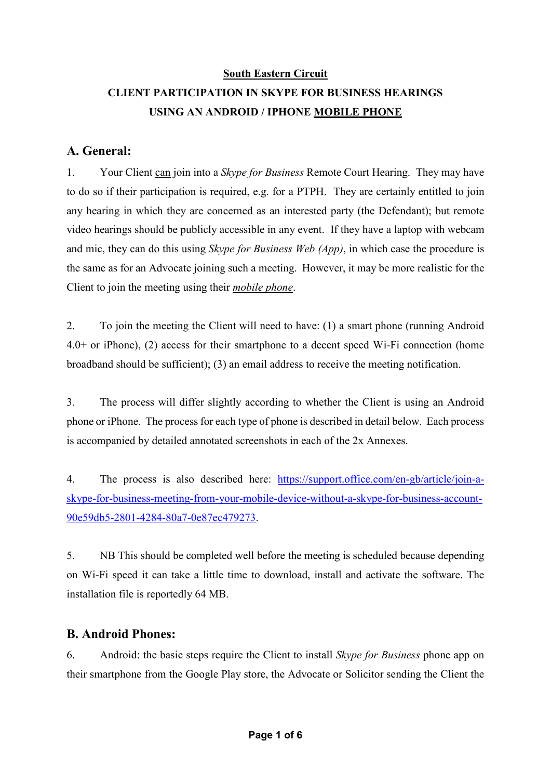### **South Eastern Circuit CLIENT PARTICIPATION IN SKYPE FOR BUSINESS HEARINGS USING AN ANDROID / IPHONE MOBILE PHONE**

### **A. General:**

1. Your Client can join into a *Skype for Business* Remote Court Hearing. They may have to do so if their participation is required, e.g. for a PTPH. They are certainly entitled to join any hearing in which they are concerned as an interested party (the Defendant); but remote video hearings should be publicly accessible in any event. If they have a laptop with webcam and mic, they can do this using *Skype for Business Web (App)*, in which case the procedure is the same as for an Advocate joining such a meeting. However, it may be more realistic for the Client to join the meeting using their *mobile phone*.

2. To join the meeting the Client will need to have: (1) a smart phone (running Android 4.0+ or iPhone), (2) access for their smartphone to a decent speed Wi-Fi connection (home broadband should be sufficient); (3) an email address to receive the meeting notification.

3. The process will differ slightly according to whether the Client is using an Android phone or iPhone. The process for each type of phone is described in detail below. Each process is accompanied by detailed annotated screenshots in each of the 2x Annexes.

4. The process is also described here: https://support.office.com/en-gb/article/join-askype-for-business-meeting-from-your-mobile-device-without-a-skype-for-business-account-90e59db5-2801-4284-80a7-0e87ec479273.

5. NB This should be completed well before the meeting is scheduled because depending on Wi-Fi speed it can take a little time to download, install and activate the software. The installation file is reportedly 64 MB.

### **B. Android Phones:**

6. Android: the basic steps require the Client to install *Skype for Business* phone app on their smartphone from the Google Play store, the Advocate or Solicitor sending the Client the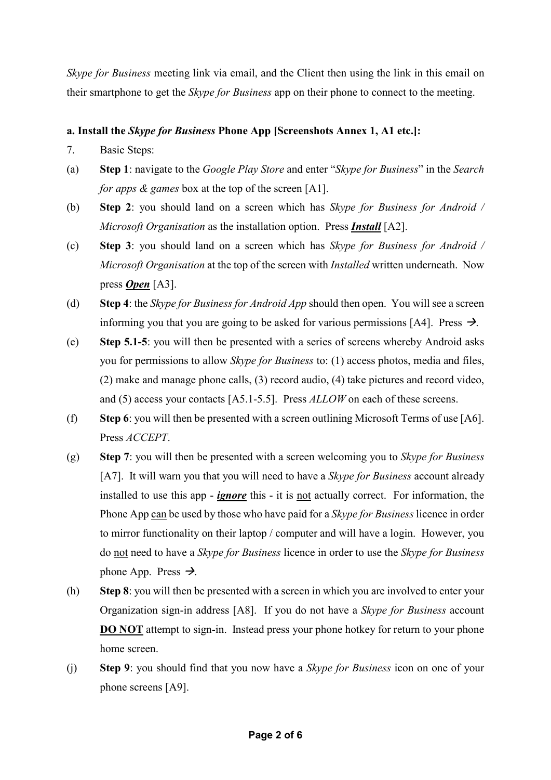*Skype for Business* meeting link via email, and the Client then using the link in this email on their smartphone to get the *Skype for Business* app on their phone to connect to the meeting.

### **a. Install the** *Skype for Business* **Phone App [Screenshots Annex 1, A1 etc.]:**

- 7. Basic Steps:
- (a) **Step 1**: navigate to the *Google Play Store* and enter "*Skype for Business*" in the *Search for apps & games* box at the top of the screen [A1].
- (b) **Step 2**: you should land on a screen which has *Skype for Business for Android / Microsoft Organisation* as the installation option. Press *Install* [A2].
- (c) **Step 3**: you should land on a screen which has *Skype for Business for Android / Microsoft Organisation* at the top of the screen with *Installed* written underneath. Now press *Open* [A3].
- (d) **Step 4**: the *Skype for Business for Android App* should then open. You will see a screen informing you that you are going to be asked for various permissions [A4]. Press  $\rightarrow$ .
- (e) **Step 5.1-5**: you will then be presented with a series of screens whereby Android asks you for permissions to allow *Skype for Business* to: (1) access photos, media and files, (2) make and manage phone calls, (3) record audio, (4) take pictures and record video, and (5) access your contacts [A5.1-5.5]. Press *ALLOW* on each of these screens.
- (f) **Step 6**: you will then be presented with a screen outlining Microsoft Terms of use [A6]. Press *ACCEPT*.
- (g) **Step 7**: you will then be presented with a screen welcoming you to *Skype for Business* [A7]. It will warn you that you will need to have a *Skype for Business* account already installed to use this app - *ignore* this - it is not actually correct. For information, the Phone App can be used by those who have paid for a *Skype for Business* licence in order to mirror functionality on their laptop / computer and will have a login. However, you do not need to have a *Skype for Business* licence in order to use the *Skype for Business* phone App. Press  $\rightarrow$ .
- (h) **Step 8**: you will then be presented with a screen in which you are involved to enter your Organization sign-in address [A8]. If you do not have a *Skype for Business* account **DO NOT** attempt to sign-in. Instead press your phone hotkey for return to your phone home screen.
- (j) **Step 9**: you should find that you now have a *Skype for Business* icon on one of your phone screens [A9].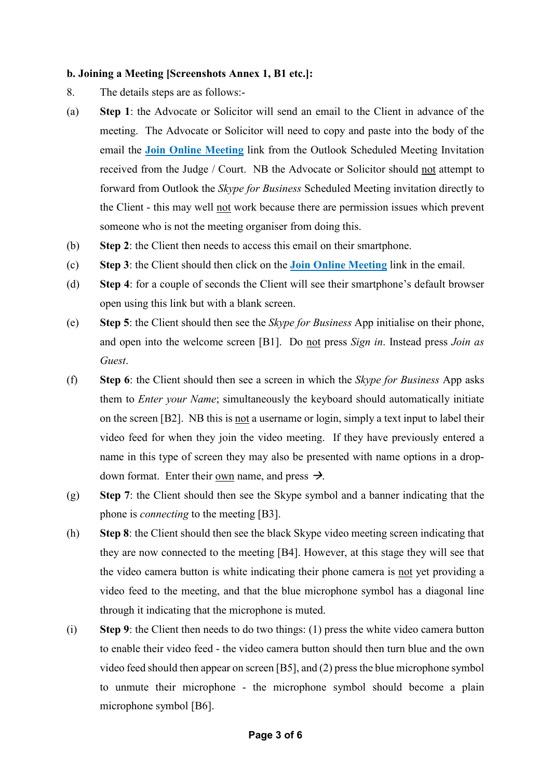#### **b. Joining a Meeting [Screenshots Annex 1, B1 etc.]:**

- 8. The details steps are as follows:-
- (a) **Step 1**: the Advocate or Solicitor will send an email to the Client in advance of the meeting. The Advocate or Solicitor will need to copy and paste into the body of the email the **Join Online Meeting** link from the Outlook Scheduled Meeting Invitation received from the Judge / Court. NB the Advocate or Solicitor should not attempt to forward from Outlook the *Skype for Business* Scheduled Meeting invitation directly to the Client - this may well not work because there are permission issues which prevent someone who is not the meeting organiser from doing this.
- (b) **Step 2**: the Client then needs to access this email on their smartphone.
- (c) **Step 3**: the Client should then click on the **Join Online Meeting** link in the email.
- (d) **Step 4**: for a couple of seconds the Client will see their smartphone's default browser open using this link but with a blank screen.
- (e) **Step 5**: the Client should then see the *Skype for Business* App initialise on their phone, and open into the welcome screen [B1]. Do not press *Sign in*. Instead press *Join as Guest*.
- (f) **Step 6**: the Client should then see a screen in which the *Skype for Business* App asks them to *Enter your Name*; simultaneously the keyboard should automatically initiate on the screen [B2]. NB this is not a username or login, simply a text input to label their video feed for when they join the video meeting. If they have previously entered a name in this type of screen they may also be presented with name options in a dropdown format. Enter their own name, and press  $\rightarrow$ .
- (g) **Step 7**: the Client should then see the Skype symbol and a banner indicating that the phone is *connecting* to the meeting [B3].
- (h) **Step 8**: the Client should then see the black Skype video meeting screen indicating that they are now connected to the meeting [B4]. However, at this stage they will see that the video camera button is white indicating their phone camera is not yet providing a video feed to the meeting, and that the blue microphone symbol has a diagonal line through it indicating that the microphone is muted.
- (i) **Step 9**: the Client then needs to do two things: (1) press the white video camera button to enable their video feed - the video camera button should then turn blue and the own video feed should then appear on screen [B5], and (2) press the blue microphone symbol to unmute their microphone - the microphone symbol should become a plain microphone symbol [B6].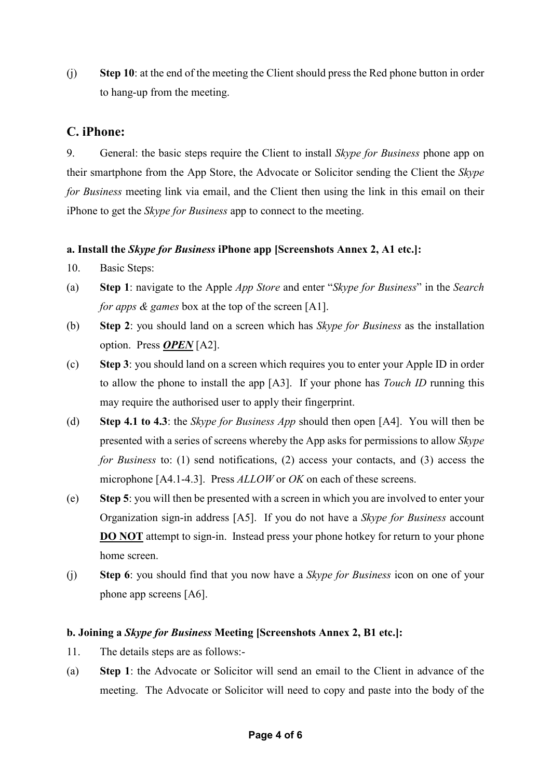(j) **Step 10**: at the end of the meeting the Client should press the Red phone button in order to hang-up from the meeting.

### **C. iPhone:**

9. General: the basic steps require the Client to install *Skype for Business* phone app on their smartphone from the App Store, the Advocate or Solicitor sending the Client the *Skype for Business* meeting link via email, and the Client then using the link in this email on their iPhone to get the *Skype for Business* app to connect to the meeting.

### **a. Install the** *Skype for Business* **iPhone app [Screenshots Annex 2, A1 etc.]:**

- 10. Basic Steps:
- (a) **Step 1**: navigate to the Apple *App Store* and enter "*Skype for Business*" in the *Search for apps & games* box at the top of the screen [A1].
- (b) **Step 2**: you should land on a screen which has *Skype for Business* as the installation option. Press *OPEN* [A2].
- (c) **Step 3**: you should land on a screen which requires you to enter your Apple ID in order to allow the phone to install the app [A3]. If your phone has *Touch ID* running this may require the authorised user to apply their fingerprint.
- (d) **Step 4.1 to 4.3**: the *Skype for Business App* should then open [A4]. You will then be presented with a series of screens whereby the App asks for permissions to allow *Skype for Business* to: (1) send notifications, (2) access your contacts, and (3) access the microphone [A4.1-4.3]. Press *ALLOW* or *OK* on each of these screens.
- (e) **Step 5**: you will then be presented with a screen in which you are involved to enter your Organization sign-in address [A5]. If you do not have a *Skype for Business* account **DO NOT** attempt to sign-in. Instead press your phone hotkey for return to your phone home screen.
- (j) **Step 6**: you should find that you now have a *Skype for Business* icon on one of your phone app screens [A6].

### **b. Joining a** *Skype for Business* **Meeting [Screenshots Annex 2, B1 etc.]:**

- 11. The details steps are as follows:-
- (a) **Step 1**: the Advocate or Solicitor will send an email to the Client in advance of the meeting. The Advocate or Solicitor will need to copy and paste into the body of the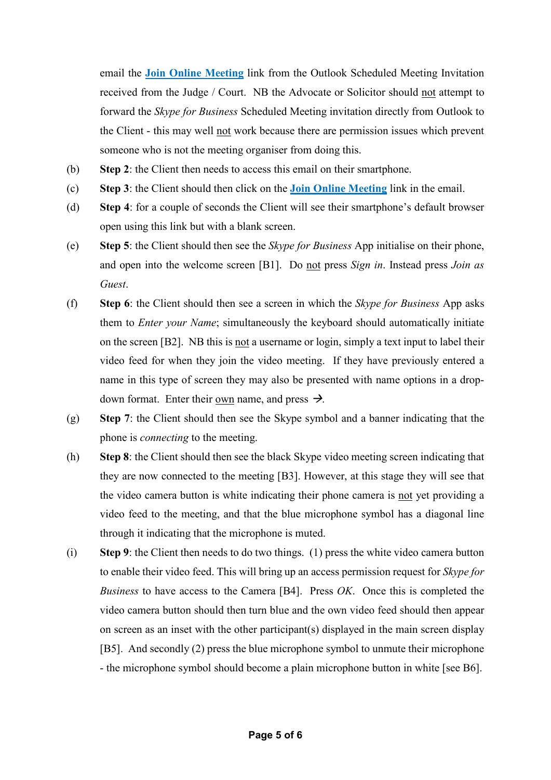email the **Join Online Meeting** link from the Outlook Scheduled Meeting Invitation received from the Judge / Court. NB the Advocate or Solicitor should not attempt to forward the *Skype for Business* Scheduled Meeting invitation directly from Outlook to the Client - this may well not work because there are permission issues which prevent someone who is not the meeting organiser from doing this.

- (b) **Step 2**: the Client then needs to access this email on their smartphone.
- (c) **Step 3**: the Client should then click on the **Join Online Meeting** link in the email.
- (d) **Step 4**: for a couple of seconds the Client will see their smartphone's default browser open using this link but with a blank screen.
- (e) **Step 5**: the Client should then see the *Skype for Business* App initialise on their phone, and open into the welcome screen [B1]. Do not press *Sign in*. Instead press *Join as Guest*.
- (f) **Step 6**: the Client should then see a screen in which the *Skype for Business* App asks them to *Enter your Name*; simultaneously the keyboard should automatically initiate on the screen [B2]. NB this is not a username or login, simply a text input to label their video feed for when they join the video meeting. If they have previously entered a name in this type of screen they may also be presented with name options in a dropdown format. Enter their own name, and press  $\rightarrow$ .
- (g) **Step 7**: the Client should then see the Skype symbol and a banner indicating that the phone is *connecting* to the meeting.
- (h) **Step 8**: the Client should then see the black Skype video meeting screen indicating that they are now connected to the meeting [B3]. However, at this stage they will see that the video camera button is white indicating their phone camera is not yet providing a video feed to the meeting, and that the blue microphone symbol has a diagonal line through it indicating that the microphone is muted.
- (i) **Step 9**: the Client then needs to do two things. (1) press the white video camera button to enable their video feed. This will bring up an access permission request for *Skype for Business* to have access to the Camera [B4]. Press *OK*. Once this is completed the video camera button should then turn blue and the own video feed should then appear on screen as an inset with the other participant(s) displayed in the main screen display [B5]. And secondly (2) press the blue microphone symbol to unmute their microphone - the microphone symbol should become a plain microphone button in white [see B6].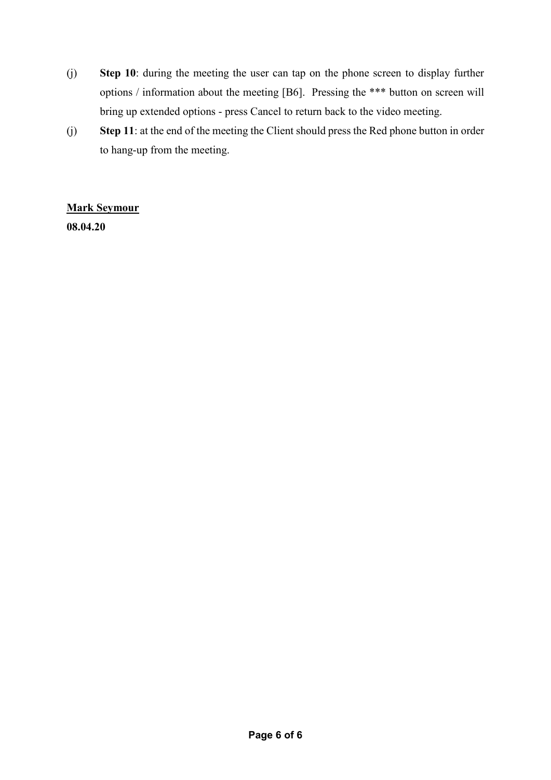- (j) **Step 10**: during the meeting the user can tap on the phone screen to display further options / information about the meeting [B6]. Pressing the \*\*\* button on screen will bring up extended options - press Cancel to return back to the video meeting.
- (j) **Step 11**: at the end of the meeting the Client should press the Red phone button in order to hang-up from the meeting.

### **Mark Seymour**

**08.04.20**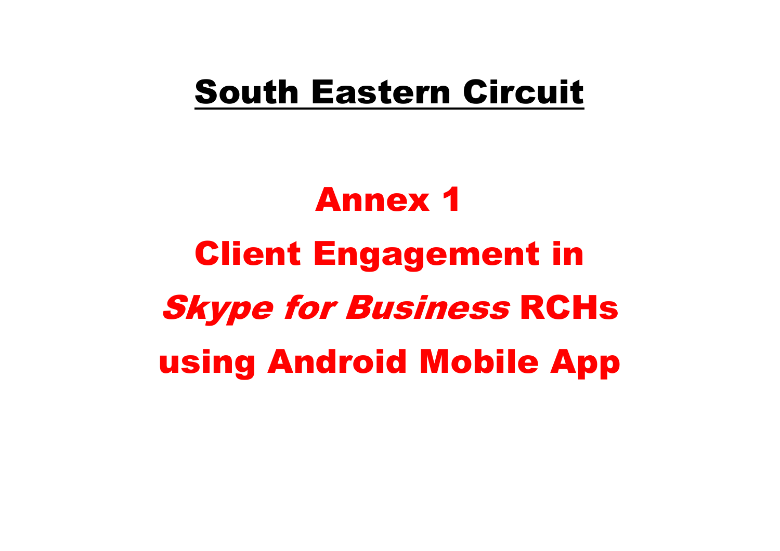# South Eastern Circuit

# Annex 1 Client Engagement in Skype for Business RCHsusing Android Mobile App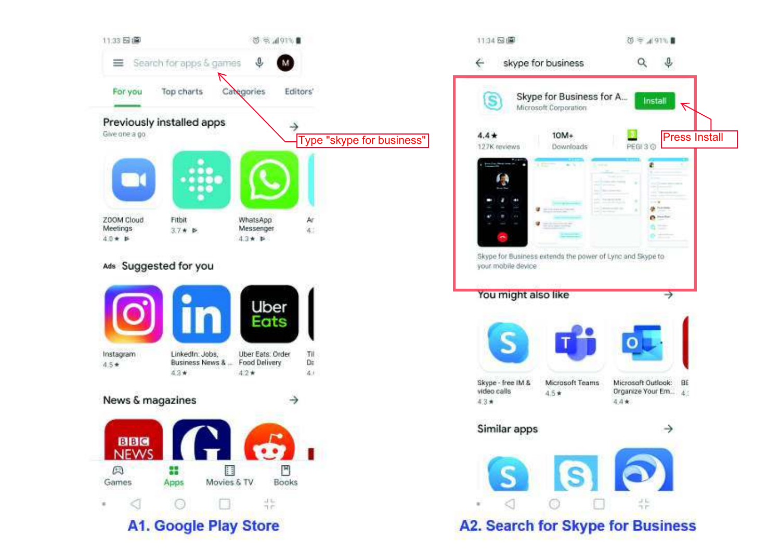

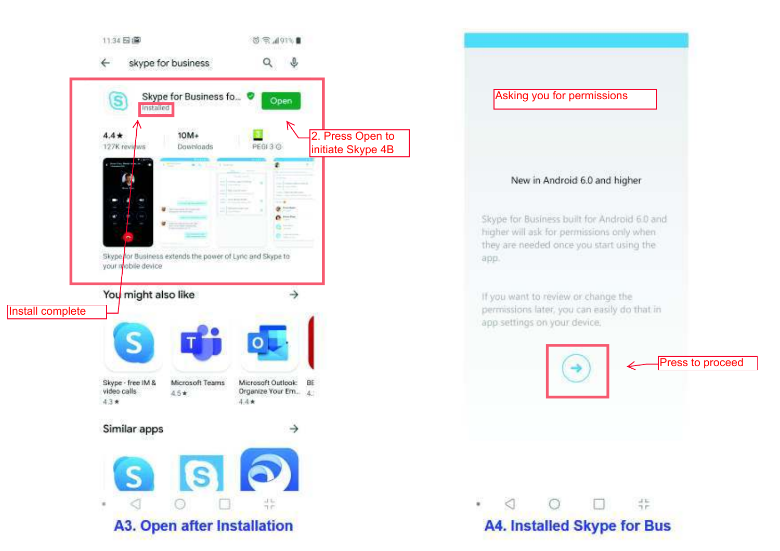

# Asking you for permissions New in Android 6.0 and higher Skype for Business built for Android 6.0 and higher will ask for permissions only when they are needed once you start using the app. If you want to review or change the permissions later, you can easily do that in app settings on your device. Press to proceed $rac{1}{1}$  $\circ$ ◁ ٠ **A4. Installed Skype for Bus**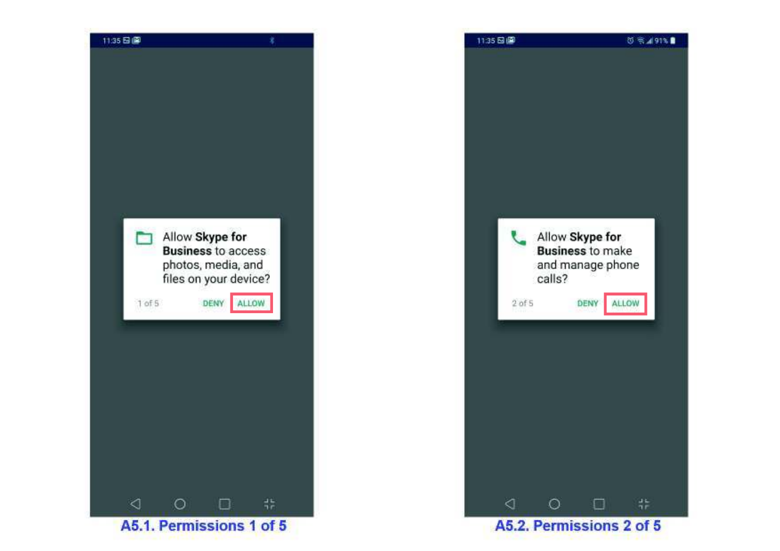

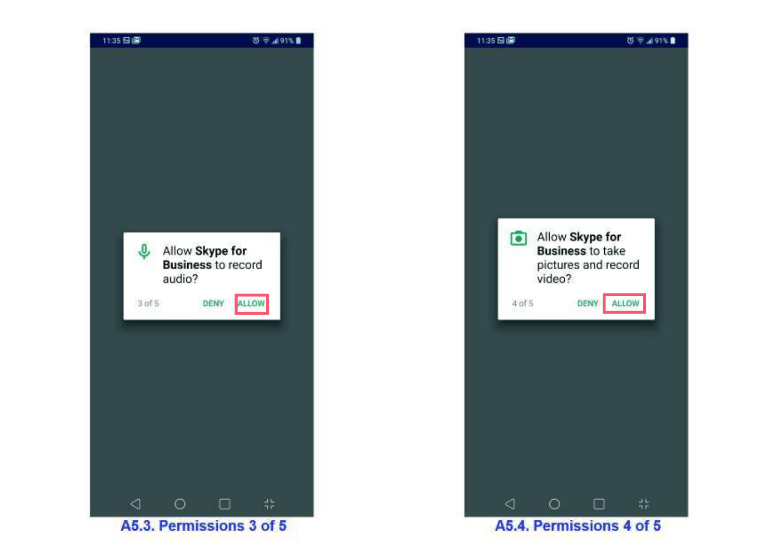

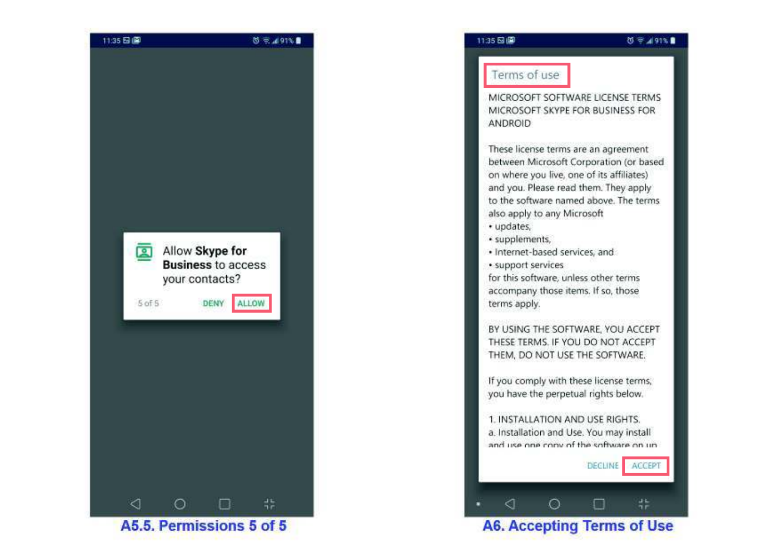

### Terms of use

MICROSOFT SOFTWARE LICENSE TERMS MICROSOFT SKYPE FOR BUSINESS FOR ANDROID

These license terms are an agreement between Microsoft Corporation (or based on where you live, one of its affiliates) and you. Please read them. They apply to the software named above. The terms also apply to any Microsoft

- · updates,
- · supplements,
- · Internet-based services, and

· support services

for this software, unless other terms accompany those items. If so, those terms apply.

BY USING THE SOFTWARE, YOU ACCEPT THESE TERMS. IF YOU DO NOT ACCEPT THEM, DO NOT USE THE SOFTWARE.

If you comply with these license terms, you have the perpetual rights below.

1. INSTALLATION AND USE RIGHTS. a. Installation and Use. You may install and use one conv of the software on un-

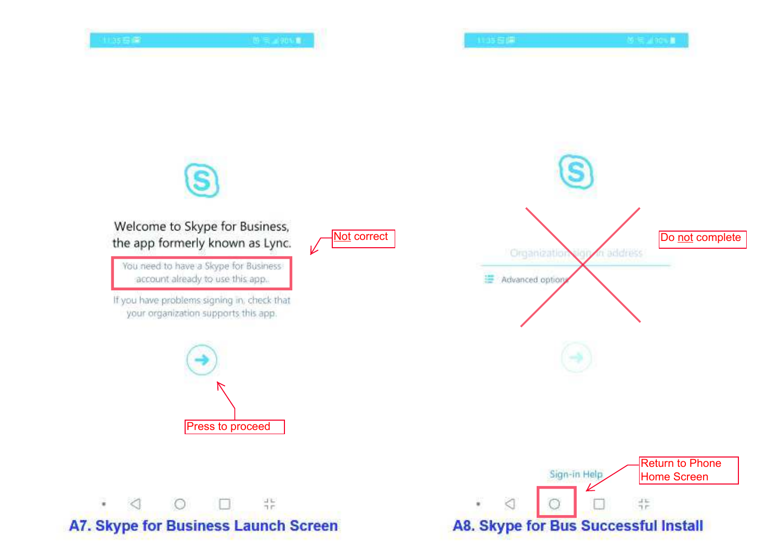

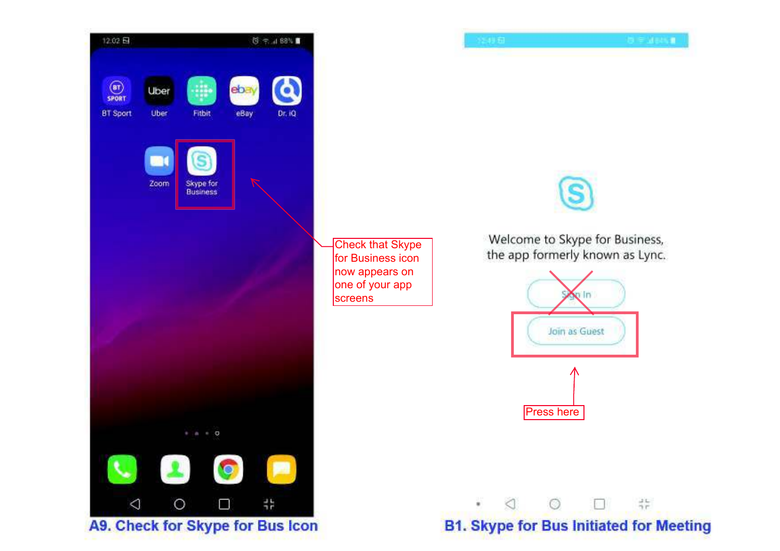



Welcome to Skype for Business, the app formerly known as Lync.





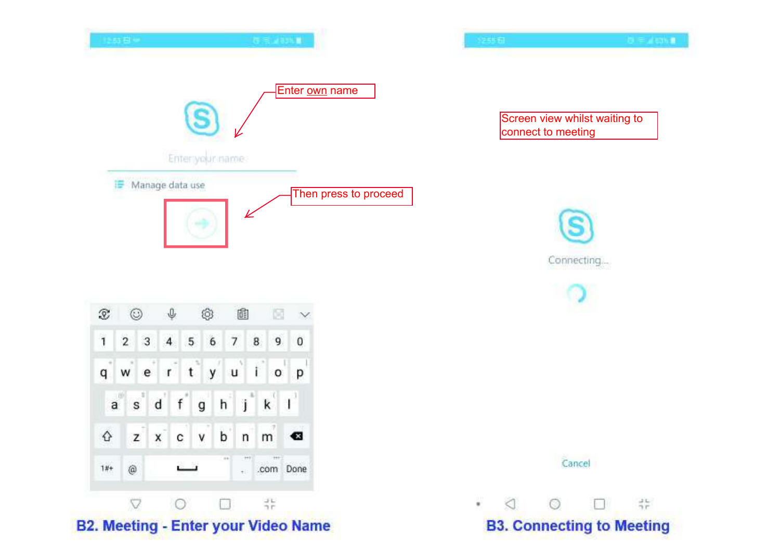

|              | $\circledcirc$ |         |            |              |                | $\downarrow$ $\circ$ $\circ$ $\circ$ $\circ$ $\circ$ |  |
|--------------|----------------|---------|------------|--------------|----------------|------------------------------------------------------|--|
| 1            | $2 \quad 3$    |         |            |              |                | 4 5 6 7 8 9 0                                        |  |
|              |                |         |            |              |                | qwertyulop                                           |  |
| $\mathbf{a}$ |                | s d     | $f$ g h j  |              |                | $k^{1}$                                              |  |
|              |                | $Z$ $X$ | $c \mid v$ | $\mathbf{b}$ | $\binom{n}{n}$ | $\mathsf{m}^{\mathsf{T}}$                            |  |
|              | $\circledcirc$ |         |            | $-0.6$       |                | . .com Done                                          |  |
|              |                |         |            | 94           |                |                                                      |  |

## **B2. Meeting - Enter your Video Name**

Screen view whilst waiting to connect to meeting

 $\mathbf{B} = \mathbf{A}$  and  $\mathbf{B}$ 

Connecting...



## **B3. Connecting to Meeting**

 $\bullet$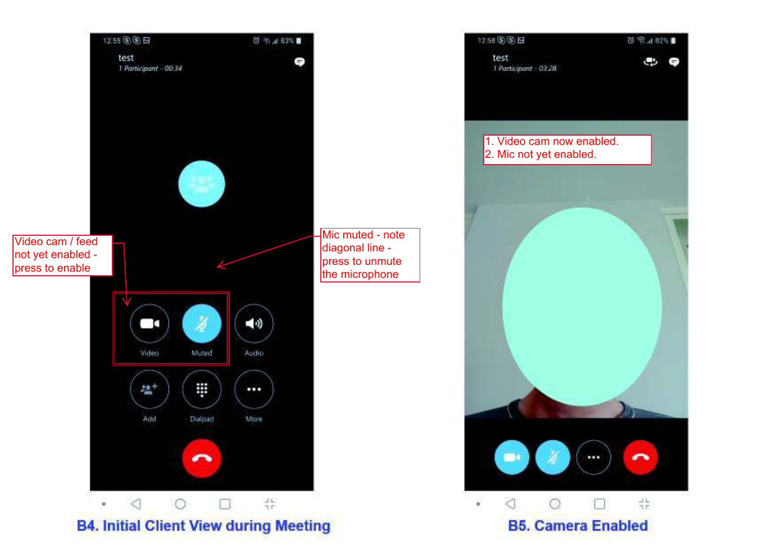

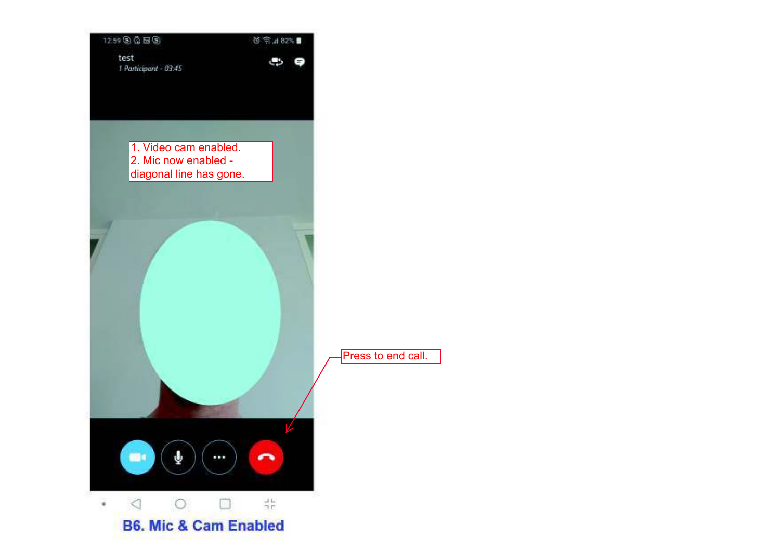| 1259 8 4 日5<br>test<br>1 Participant - 03:45 |                                               |                                        | 2584.79 | 5 |                |
|----------------------------------------------|-----------------------------------------------|----------------------------------------|---------|---|----------------|
|                                              |                                               |                                        |         |   |                |
|                                              | 1. Video cam enabled.<br>2. Mic now enabled - | diagonal line has gone.                |         |   |                |
|                                              |                                               |                                        |         |   |                |
|                                              |                                               |                                        |         |   | P <sub>1</sub> |
| ma (                                         | Ý                                             | 688                                    |         |   |                |
|                                              | -C.                                           | 96<br><b>B6. Mic &amp; Cam Enabled</b> | #       |   |                |

**Press to end call.**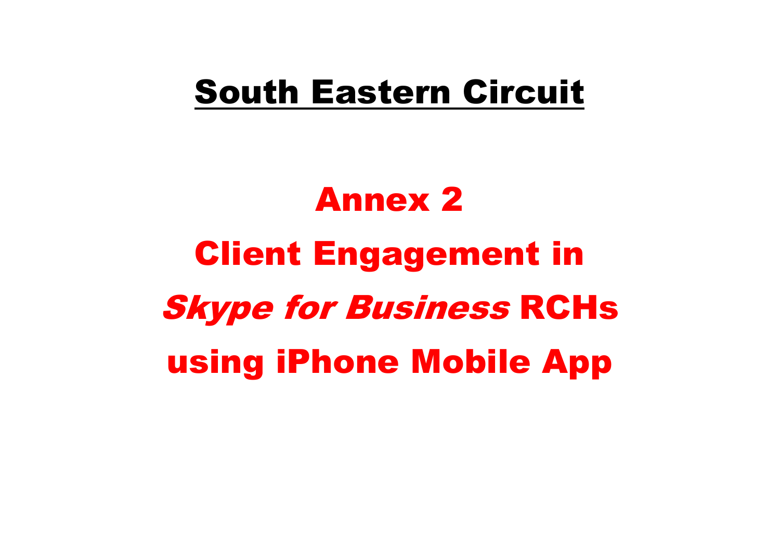# South Eastern Circuit

# Annex 2 Client Engagement in Skype for Business RCHsusing iPhone Mobile App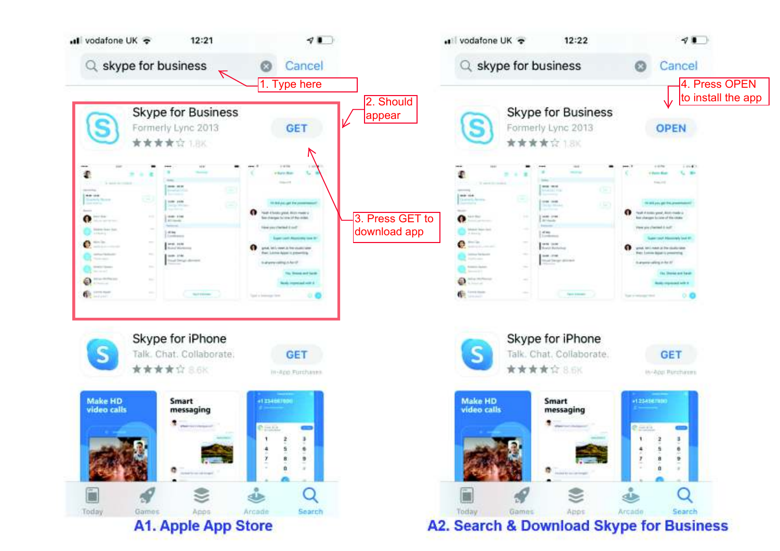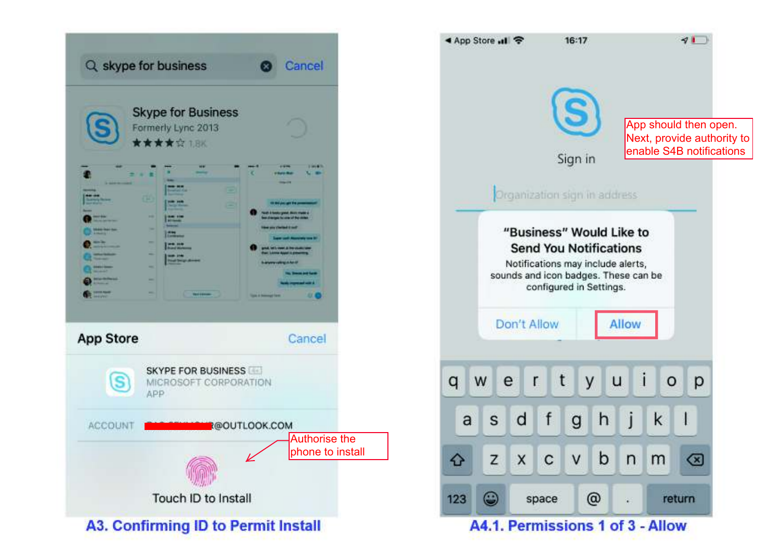

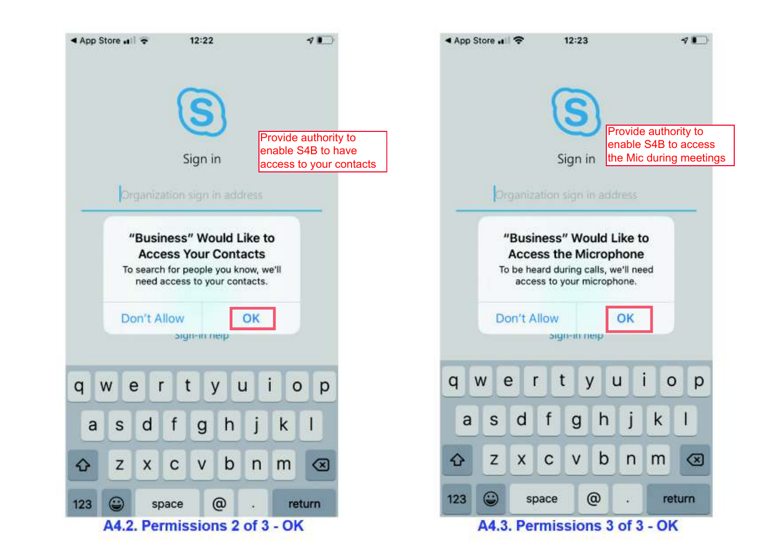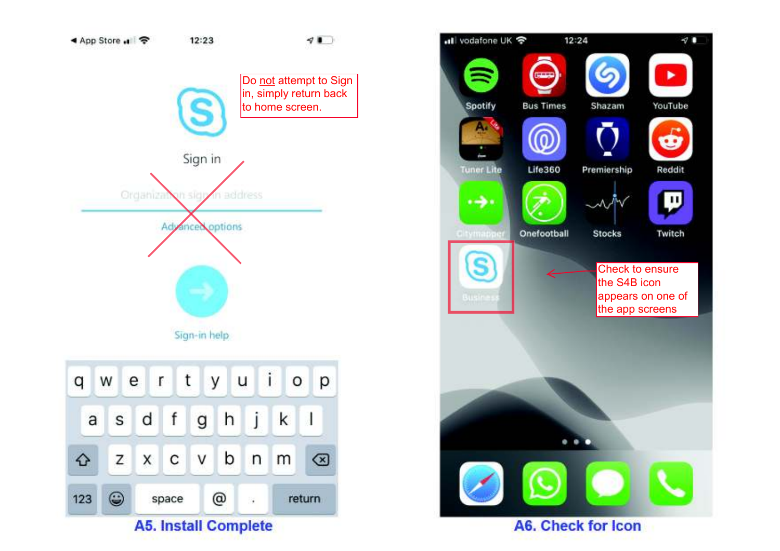

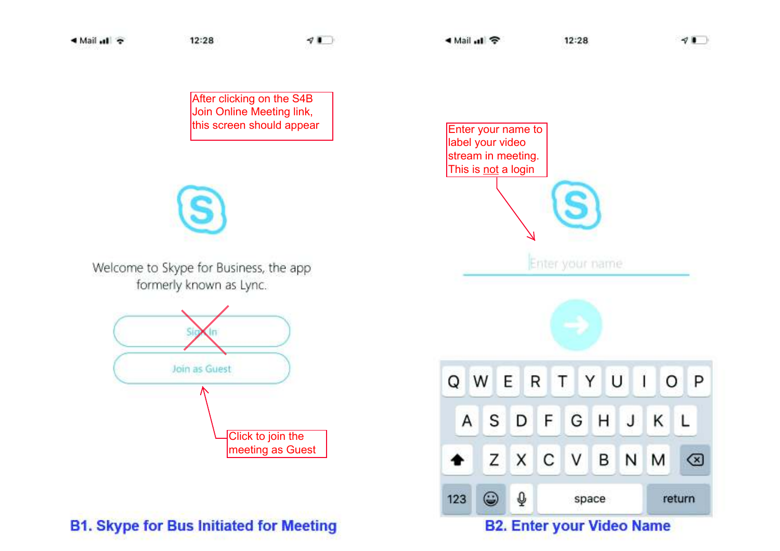After clicking on the S4B Join Online Meeting link, this screen should appear

Welcome to Skype for Business, the app formerly known as Lync.



## **B1. Skype for Bus Initiated for Meeting**



### **B2. Enter your Video Name**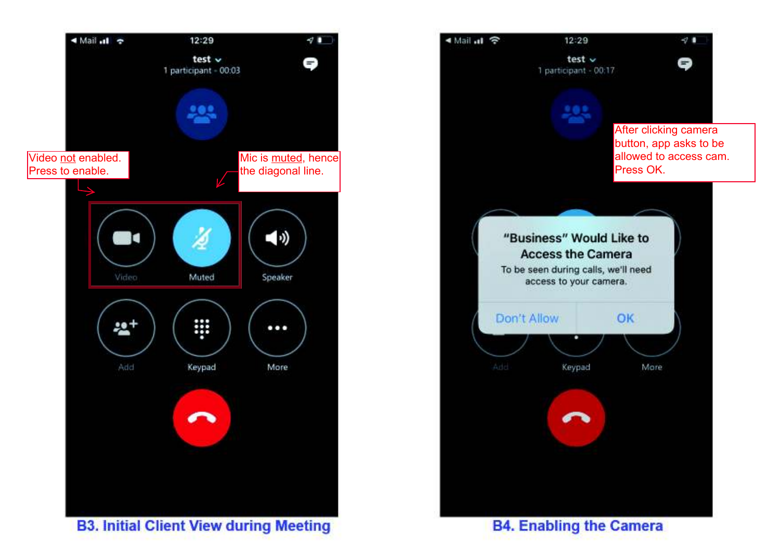



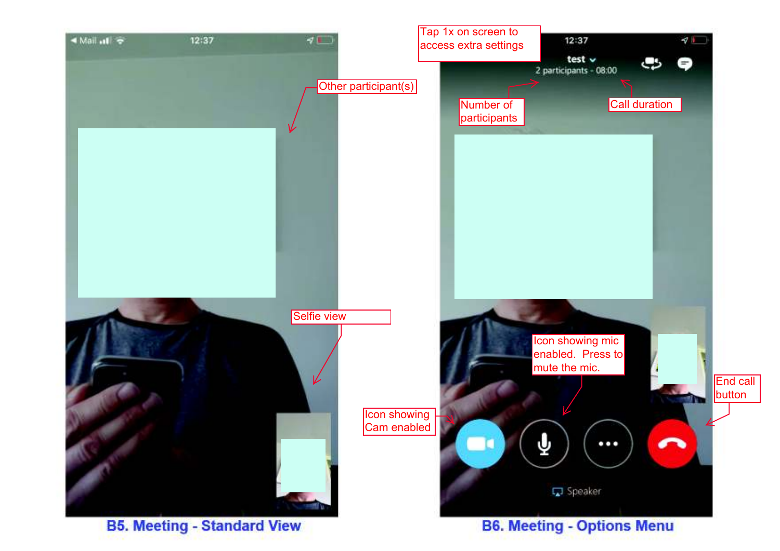